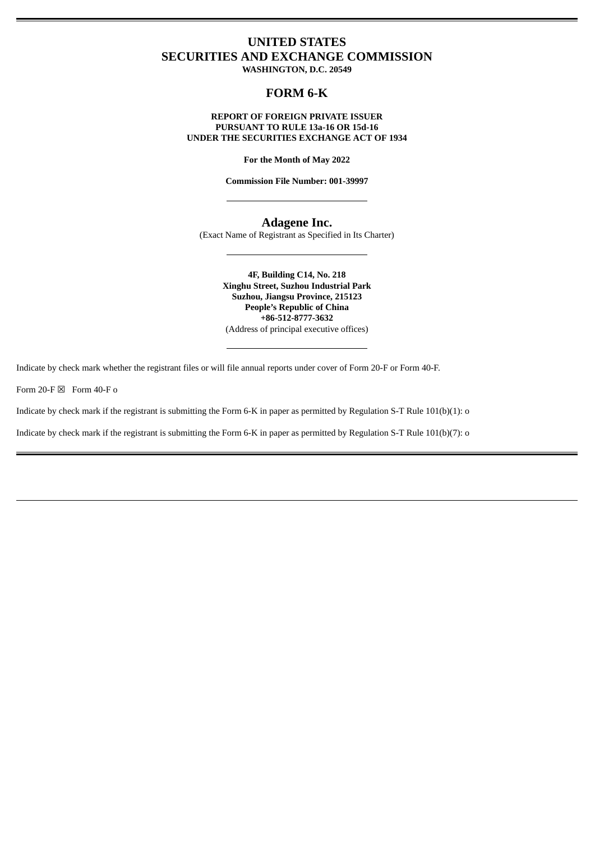# **UNITED STATES SECURITIES AND EXCHANGE COMMISSION**

**WASHINGTON, D.C. 20549**

# **FORM 6-K**

#### **REPORT OF FOREIGN PRIVATE ISSUER PURSUANT TO RULE 13a-16 OR 15d-16 UNDER THE SECURITIES EXCHANGE ACT OF 1934**

**For the Month of May 2022**

**Commission File Number: 001-39997**

# **Adagene Inc.**

(Exact Name of Registrant as Specified in Its Charter)

**4F, Building C14, No. 218 Xinghu Street, Suzhou Industrial Park Suzhou, Jiangsu Province, 215123 People's Republic of China +86-512-8777-3632** (Address of principal executive offices)

Indicate by check mark whether the registrant files or will file annual reports under cover of Form 20-F or Form 40-F.

Form 20-F  $\boxtimes$  Form 40-F o

Indicate by check mark if the registrant is submitting the Form 6-K in paper as permitted by Regulation S-T Rule 101(b)(1): o

Indicate by check mark if the registrant is submitting the Form 6-K in paper as permitted by Regulation S-T Rule 101(b)(7): o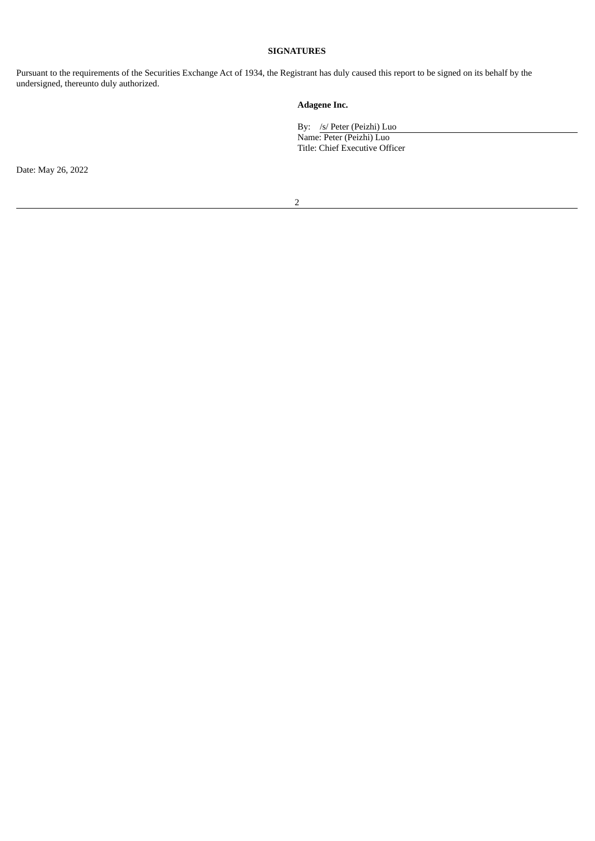### **SIGNATURES**

Pursuant to the requirements of the Securities Exchange Act of 1934, the Registrant has duly caused this report to be signed on its behalf by the undersigned, thereunto duly authorized.

# **Adagene Inc.**

By: /s/ Peter (Peizhi) Luo

Name: Peter (Peizhi) Luo Title: Chief Executive Officer

Date: May 26, 2022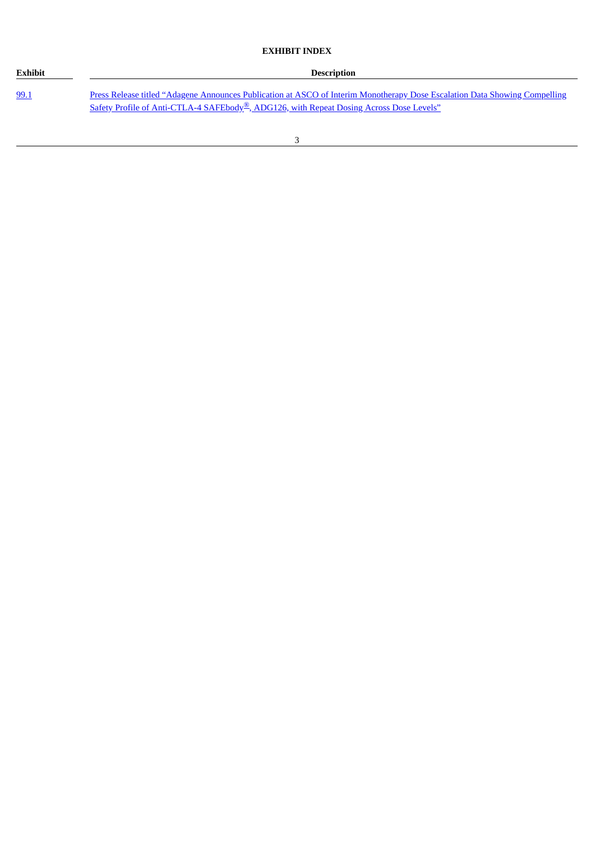# **EXHIBIT INDEX**

| <b>Exhibit</b> | <b>Description</b>                                                                                                                                                                                                                 |
|----------------|------------------------------------------------------------------------------------------------------------------------------------------------------------------------------------------------------------------------------------|
| 99.1           | Press Release titled "Adagene Announces Publication at ASCO of Interim Monotherapy Dose Escalation Data Showing Compelling<br>Safety Profile of Anti-CTLA-4 SAFEbody <sup>®</sup> , ADG126, with Repeat Dosing Across Dose Levels" |

Ĭ.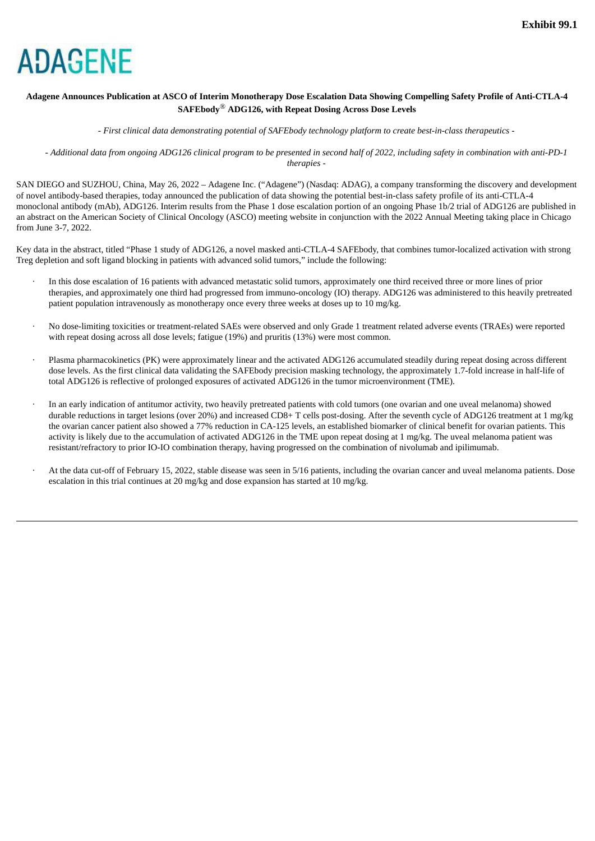<span id="page-3-0"></span>

### Adagene Announces Publication at ASCO of Interim Monotherapy Dose Escalation Data Showing Compelling Safety Profile of Anti-CTLA-4 **SAFEbody***®* **ADG126, with Repeat Dosing Across Dose Levels**

*- First clinical data demonstrating potential of SAFEbody technology platform to create best-in-class therapeutics -*

- Additional data from ongoing ADG126 clinical program to be presented in second half of 2022, including safety in combination with anti-PD-1 *therapies -*

SAN DIEGO and SUZHOU, China, May 26, 2022 – Adagene Inc. ("Adagene") (Nasdaq: ADAG), a company transforming the discovery and development of novel antibody-based therapies, today announced the publication of data showing the potential best-in-class safety profile of its anti-CTLA-4 monoclonal antibody (mAb), ADG126. Interim results from the Phase 1 dose escalation portion of an ongoing Phase 1b/2 trial of ADG126 are published in an abstract on the American Society of Clinical Oncology (ASCO) meeting website in conjunction with the 2022 Annual Meeting taking place in Chicago from June 3-7, 2022.

Key data in the abstract, titled "Phase 1 study of ADG126, a novel masked anti-CTLA-4 SAFEbody, that combines tumor-localized activation with strong Treg depletion and soft ligand blocking in patients with advanced solid tumors," include the following:

- · In this dose escalation of 16 patients with advanced metastatic solid tumors, approximately one third received three or more lines of prior therapies, and approximately one third had progressed from immuno-oncology (IO) therapy. ADG126 was administered to this heavily pretreated patient population intravenously as monotherapy once every three weeks at doses up to 10 mg/kg.
- · No dose-limiting toxicities or treatment-related SAEs were observed and only Grade 1 treatment related adverse events (TRAEs) were reported with repeat dosing across all dose levels; fatigue (19%) and pruritis (13%) were most common.
- · Plasma pharmacokinetics (PK) were approximately linear and the activated ADG126 accumulated steadily during repeat dosing across different dose levels. As the first clinical data validating the SAFEbody precision masking technology, the approximately 1.7-fold increase in half-life of total ADG126 is reflective of prolonged exposures of activated ADG126 in the tumor microenvironment (TME).
- · In an early indication of antitumor activity, two heavily pretreated patients with cold tumors (one ovarian and one uveal melanoma) showed durable reductions in target lesions (over 20%) and increased CD8+ T cells post-dosing. After the seventh cycle of ADG126 treatment at 1 mg/kg the ovarian cancer patient also showed a 77% reduction in CA-125 levels, an established biomarker of clinical benefit for ovarian patients. This activity is likely due to the accumulation of activated ADG126 in the TME upon repeat dosing at 1 mg/kg. The uveal melanoma patient was resistant/refractory to prior IO-IO combination therapy, having progressed on the combination of nivolumab and ipilimumab.
- At the data cut-off of February 15, 2022, stable disease was seen in 5/16 patients, including the ovarian cancer and uveal melanoma patients. Dose escalation in this trial continues at 20 mg/kg and dose expansion has started at 10 mg/kg.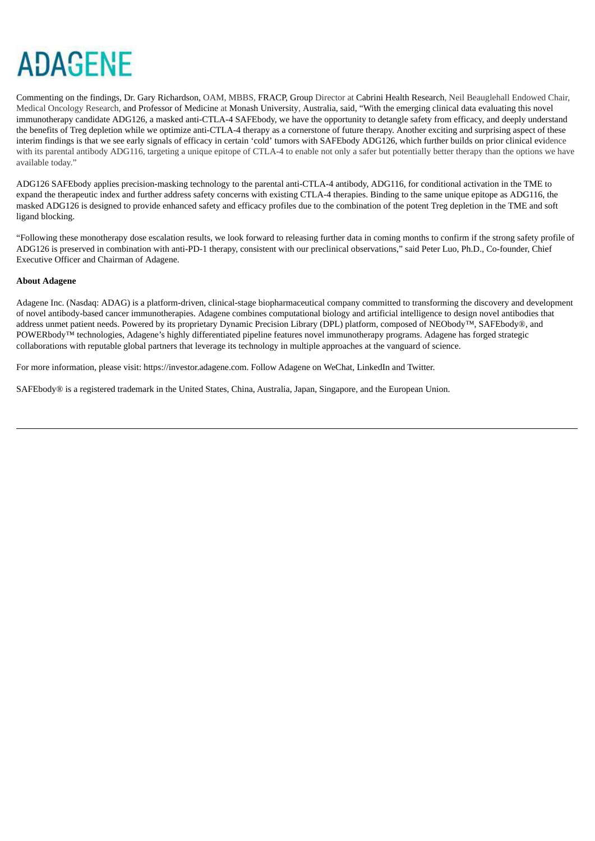# **ADAGENE**

Commenting on the findings, Dr. Gary Richardson, OAM, MBBS, FRACP, Group Director at Cabrini Health Research, Neil Beauglehall Endowed Chair, Medical Oncology Research, and Professor of Medicine at Monash University, Australia, said, "With the emerging clinical data evaluating this novel immunotherapy candidate ADG126, a masked anti-CTLA-4 SAFEbody, we have the opportunity to detangle safety from efficacy, and deeply understand the benefits of Treg depletion while we optimize anti-CTLA-4 therapy as a cornerstone of future therapy. Another exciting and surprising aspect of these interim findings is that we see early signals of efficacy in certain 'cold' tumors with SAFEbody ADG126, which further builds on prior clinical evidence with its parental antibody ADG116, targeting a unique epitope of CTLA-4 to enable not only a safer but potentially better therapy than the options we have available today."

ADG126 SAFEbody applies precision-masking technology to the parental anti-CTLA-4 antibody, ADG116, for conditional activation in the TME to expand the therapeutic index and further address safety concerns with existing CTLA-4 therapies. Binding to the same unique epitope as ADG116, the masked ADG126 is designed to provide enhanced safety and efficacy profiles due to the combination of the potent Treg depletion in the TME and soft ligand blocking.

"Following these monotherapy dose escalation results, we look forward to releasing further data in coming months to confirm if the strong safety profile of ADG126 is preserved in combination with anti-PD-1 therapy, consistent with our preclinical observations," said Peter Luo, Ph.D., Co-founder, Chief Executive Officer and Chairman of Adagene.

#### **About Adagene**

Adagene Inc. (Nasdaq: ADAG) is a platform-driven, clinical-stage biopharmaceutical company committed to transforming the discovery and development of novel antibody-based cancer immunotherapies. Adagene combines computational biology and artificial intelligence to design novel antibodies that address unmet patient needs. Powered by its proprietary Dynamic Precision Library (DPL) platform, composed of NEObody™, SAFEbody®, and POWERbody<sup>™</sup> technologies, Adagene's highly differentiated pipeline features novel immunotherapy programs. Adagene has forged strategic collaborations with reputable global partners that leverage its technology in multiple approaches at the vanguard of science.

For more information, please visit: https://investor.adagene.com. Follow Adagene on WeChat, LinkedIn and Twitter.

SAFEbody® is a registered trademark in the United States, China, Australia, Japan, Singapore, and the European Union.